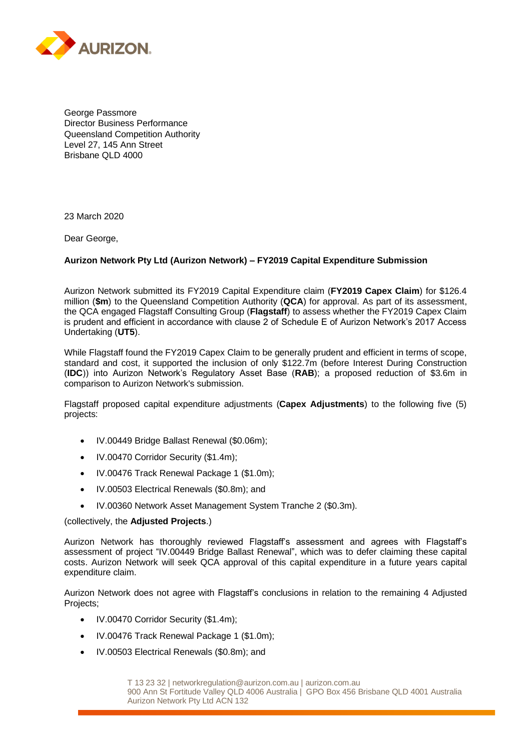

George Passmore Director Business Performance Queensland Competition Authority Level 27, 145 Ann Street Brisbane QLD 4000

23 March 2020

Dear George,

#### **Aurizon Network Pty Ltd (Aurizon Network) – FY2019 Capital Expenditure Submission**

Aurizon Network submitted its FY2019 Capital Expenditure claim (**FY2019 Capex Claim**) for \$126.4 million (**\$m**) to the Queensland Competition Authority (**QCA**) for approval. As part of its assessment, the QCA engaged Flagstaff Consulting Group (**Flagstaff**) to assess whether the FY2019 Capex Claim is prudent and efficient in accordance with clause 2 of Schedule E of Aurizon Network's 2017 Access Undertaking (**UT5**).

While Flagstaff found the FY2019 Capex Claim to be generally prudent and efficient in terms of scope, standard and cost, it supported the inclusion of only \$122.7m (before Interest During Construction (**IDC**)) into Aurizon Network's Regulatory Asset Base (**RAB**); a proposed reduction of \$3.6m in comparison to Aurizon Network's submission.

Flagstaff proposed capital expenditure adjustments (**Capex Adjustments**) to the following five (5) projects:

- IV.00449 Bridge Ballast Renewal (\$0.06m);
- IV.00470 Corridor Security (\$1.4m);
- IV.00476 Track Renewal Package 1 (\$1.0m);
- IV.00503 Electrical Renewals (\$0.8m); and
- IV.00360 Network Asset Management System Tranche 2 (\$0.3m).

#### (collectively, the **Adjusted Projects**.)

Aurizon Network has thoroughly reviewed Flagstaff's assessment and agrees with Flagstaff's assessment of project "IV.00449 Bridge Ballast Renewal", which was to defer claiming these capital costs. Aurizon Network will seek QCA approval of this capital expenditure in a future years capital expenditure claim.

Aurizon Network does not agree with Flagstaff's conclusions in relation to the remaining 4 Adjusted Projects;

- IV.00470 Corridor Security (\$1.4m);
- IV.00476 Track Renewal Package 1 (\$1.0m);
- IV.00503 Electrical Renewals (\$0.8m); and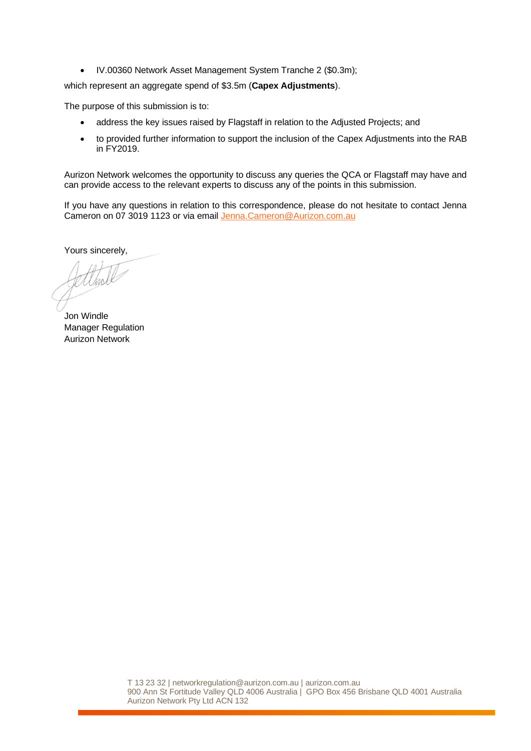• IV.00360 Network Asset Management System Tranche 2 (\$0.3m);

which represent an aggregate spend of \$3.5m (**Capex Adjustments**).

The purpose of this submission is to:

- address the key issues raised by Flagstaff in relation to the Adjusted Projects; and
- to provided further information to support the inclusion of the Capex Adjustments into the RAB in FY2019.

Aurizon Network welcomes the opportunity to discuss any queries the QCA or Flagstaff may have and can provide access to the relevant experts to discuss any of the points in this submission.

If you have any questions in relation to this correspondence, please do not hesitate to contact Jenna Cameron on 07 3019 1123 or via email [Jenna.Cameron@Aurizon.com.au](mailto:Jenna.Cameron@Aurizon.com.au)

Yours sincerely,

Jon Windle Manager Regulation Aurizon Network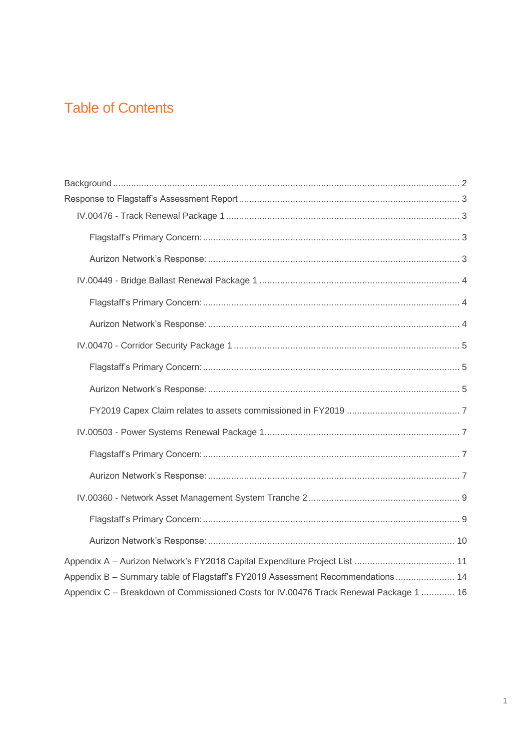## **Table of Contents**

| Appendix A - Aurizon Network's FY2018 Capital Expenditure Project List  11            |
|---------------------------------------------------------------------------------------|
| Appendix B - Summary table of Flagstaff's FY2019 Assessment Recommendations 14        |
| Appendix C - Breakdown of Commissioned Costs for IV.00476 Track Renewal Package 1  16 |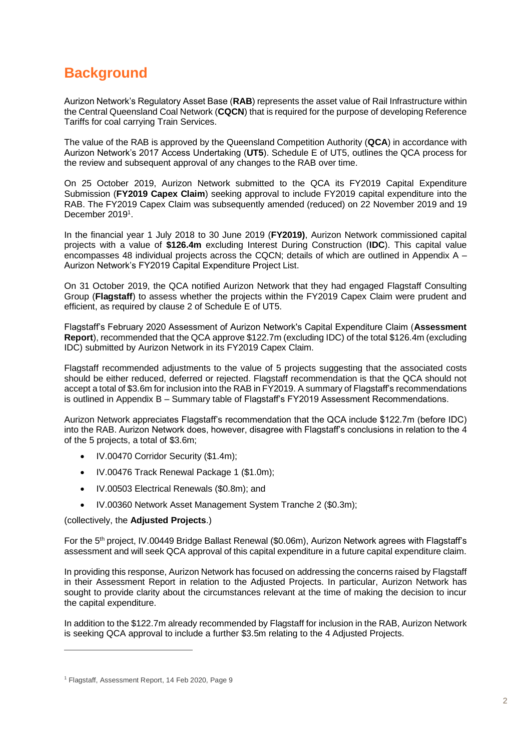### <span id="page-3-0"></span>**Background**

Aurizon Network's Regulatory Asset Base (**RAB**) represents the asset value of Rail Infrastructure within the Central Queensland Coal Network (**CQCN**) that is required for the purpose of developing Reference Tariffs for coal carrying Train Services.

The value of the RAB is approved by the Queensland Competition Authority (**QCA**) in accordance with Aurizon Network's 2017 Access Undertaking (**UT5**). Schedule E of UT5, outlines the QCA process for the review and subsequent approval of any changes to the RAB over time.

On 25 October 2019, Aurizon Network submitted to the QCA its FY2019 Capital Expenditure Submission (**FY2019 Capex Claim**) seeking approval to include FY2019 capital expenditure into the RAB. The FY2019 Capex Claim was subsequently amended (reduced) on 22 November 2019 and 19 December 2019<sup>1</sup>.

In the financial year 1 July 2018 to 30 June 2019 (**FY2019)**, Aurizon Network commissioned capital projects with a value of **\$126.4m** excluding Interest During Construction (**IDC**). This capital value encompasses 48 individual projects across the CQCN; details of which are outlined in Appendix A – Aurizon Network's FY2019 Capital Expenditure Project List.

On 31 October 2019, the QCA notified Aurizon Network that they had engaged Flagstaff Consulting Group (**Flagstaff**) to assess whether the projects within the FY2019 Capex Claim were prudent and efficient, as required by clause 2 of Schedule E of UT5.

Flagstaff's February 2020 Assessment of Aurizon Network's Capital Expenditure Claim (**Assessment Report**), recommended that the QCA approve \$122.7m (excluding IDC) of the total \$126.4m (excluding IDC) submitted by Aurizon Network in its FY2019 Capex Claim.

Flagstaff recommended adjustments to the value of 5 projects suggesting that the associated costs should be either reduced, deferred or rejected. Flagstaff recommendation is that the QCA should not accept a total of \$3.6m for inclusion into the RAB in FY2019. A summary of Flagstaff's recommendations is outlined in Appendix B – Summary table of Flagstaff's FY2019 Assessment Recommendations.

Aurizon Network appreciates Flagstaff's recommendation that the QCA include \$122.7m (before IDC) into the RAB. Aurizon Network does, however, disagree with Flagstaff's conclusions in relation to the 4 of the 5 projects, a total of \$3.6m;

- IV.00470 Corridor Security (\$1.4m);
- IV.00476 Track Renewal Package 1 (\$1.0m);
- IV.00503 Electrical Renewals (\$0.8m); and
- IV.00360 Network Asset Management System Tranche 2 (\$0.3m);

#### (collectively, the **Adjusted Projects**.)

For the 5th project, IV.00449 Bridge Ballast Renewal (\$0.06m), Aurizon Network agrees with Flagstaff's assessment and will seek QCA approval of this capital expenditure in a future capital expenditure claim.

In providing this response, Aurizon Network has focused on addressing the concerns raised by Flagstaff in their Assessment Report in relation to the Adjusted Projects. In particular, Aurizon Network has sought to provide clarity about the circumstances relevant at the time of making the decision to incur the capital expenditure.

In addition to the \$122.7m already recommended by Flagstaff for inclusion in the RAB, Aurizon Network is seeking QCA approval to include a further \$3.5m relating to the 4 Adjusted Projects.

<sup>&</sup>lt;sup>1</sup> Flagstaff, Assessment Report, 14 Feb 2020, Page 9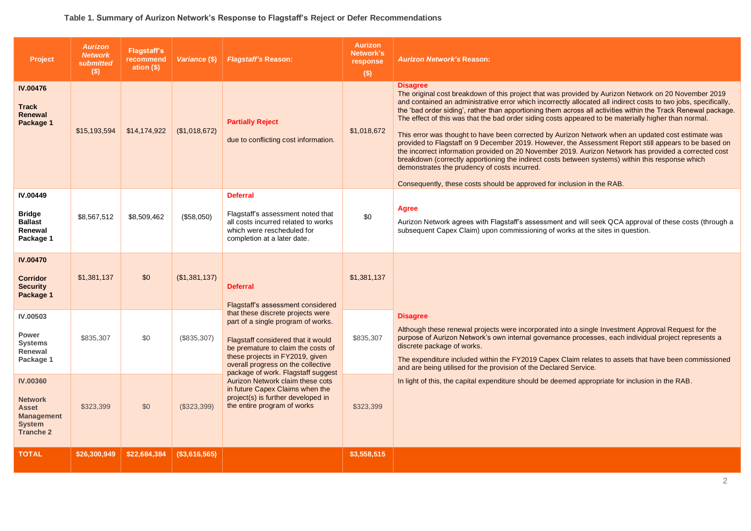#### **Table 1. Summary of Aurizon Network's Response to Flagstaff's Reject or Defer Recommendations**

| Project                                                                                                     | <b>Aurizon</b><br><b>Network</b><br><b>submitted</b><br>(s) | <b>Flagstaff's</b><br>recommend<br>ation $(§)$ | Variance (\$) | <b>Flagstaff's Reason:</b>                                                                                                                                                                                                                                         | <b>Aurizon</b><br>Network's<br>response<br>$($)$ | <b>Aurizon Network's Reason:</b>                                                                                                                                                                                                                                                                                                                                                                                                                                                                                                                                                                                                                                                                                                                                                                                                                                                                                                                                                                                          |
|-------------------------------------------------------------------------------------------------------------|-------------------------------------------------------------|------------------------------------------------|---------------|--------------------------------------------------------------------------------------------------------------------------------------------------------------------------------------------------------------------------------------------------------------------|--------------------------------------------------|---------------------------------------------------------------------------------------------------------------------------------------------------------------------------------------------------------------------------------------------------------------------------------------------------------------------------------------------------------------------------------------------------------------------------------------------------------------------------------------------------------------------------------------------------------------------------------------------------------------------------------------------------------------------------------------------------------------------------------------------------------------------------------------------------------------------------------------------------------------------------------------------------------------------------------------------------------------------------------------------------------------------------|
| <b>IV.00476</b><br><b>Track</b><br><b>Renewal</b><br>Package 1                                              | \$15,193,594                                                | \$14,174,922                                   | (\$1,018,672) | <b>Partially Reject</b><br>due to conflicting cost information.                                                                                                                                                                                                    | \$1,018,672                                      | <b>Disagree</b><br>The original cost breakdown of this project that was provided by Aurizon Network on 20 November 2019<br>and contained an administrative error which incorrectly allocated all indirect costs to two jobs, specifically,<br>the 'bad order siding', rather than apportioning them across all activities within the Track Renewal package.<br>The effect of this was that the bad order siding costs appeared to be materially higher than normal.<br>This error was thought to have been corrected by Aurizon Network when an updated cost estimate was<br>provided to Flagstaff on 9 December 2019. However, the Assessment Report still appears to be based on<br>the incorrect information provided on 20 November 2019. Aurizon Network has provided a corrected cost<br>breakdown (correctly apportioning the indirect costs between systems) within this response which<br>demonstrates the prudency of costs incurred.<br>Consequently, these costs should be approved for inclusion in the RAB. |
| <b>IV.00449</b><br><b>Bridge</b><br><b>Ballast</b><br>Renewal<br>Package 1                                  | \$8,567,512                                                 | \$8,509,462                                    | (\$58,050)    | <b>Deferral</b><br>Flagstaff's assessment noted that<br>all costs incurred related to works<br>which were rescheduled for<br>completion at a later date.                                                                                                           | \$0                                              | Agree<br>Aurizon Network agrees with Flagstaff's assessment and will seek QCA approval of these costs (through a<br>subsequent Capex Claim) upon commissioning of works at the sites in question.                                                                                                                                                                                                                                                                                                                                                                                                                                                                                                                                                                                                                                                                                                                                                                                                                         |
| <b>IV.00470</b><br><b>Corridor</b><br><b>Security</b><br>Package 1                                          | \$1,381,137                                                 | \$0                                            | (\$1,381,137) | <b>Deferral</b><br>Flagstaff's assessment considered                                                                                                                                                                                                               | \$1,381,137                                      |                                                                                                                                                                                                                                                                                                                                                                                                                                                                                                                                                                                                                                                                                                                                                                                                                                                                                                                                                                                                                           |
| <b>IV.00503</b><br>Power<br><b>Systems</b><br>Renewal<br>Package 1                                          | \$835,307                                                   | \$0                                            | (\$835,307)   | that these discrete projects were<br>part of a single program of works.<br>Flagstaff considered that it would<br>be premature to claim the costs of<br>these projects in FY2019, given<br>overall progress on the collective<br>package of work. Flagstaff suggest | \$835,307                                        | <b>Disagree</b><br>Although these renewal projects were incorporated into a single Investment Approval Request for the<br>purpose of Aurizon Network's own internal governance processes, each individual project represents a<br>discrete package of works.<br>The expenditure included within the FY2019 Capex Claim relates to assets that have been commissioned<br>and are being utilised for the provision of the Declared Service.                                                                                                                                                                                                                                                                                                                                                                                                                                                                                                                                                                                 |
| <b>IV.00360</b><br><b>Network</b><br><b>Asset</b><br><b>Management</b><br><b>System</b><br><b>Tranche 2</b> | \$323,399                                                   | \$0                                            | (\$323,399)   | Aurizon Network claim these cots<br>in future Capex Claims when the<br>project(s) is further developed in<br>the entire program of works                                                                                                                           | \$323,399<br>\$3,558,515                         | In light of this, the capital expenditure should be deemed appropriate for inclusion in the RAB.                                                                                                                                                                                                                                                                                                                                                                                                                                                                                                                                                                                                                                                                                                                                                                                                                                                                                                                          |
| <b>TOTAL</b>                                                                                                | \$26,300,949                                                | \$22,684,384                                   | (\$3,616,565) |                                                                                                                                                                                                                                                                    |                                                  |                                                                                                                                                                                                                                                                                                                                                                                                                                                                                                                                                                                                                                                                                                                                                                                                                                                                                                                                                                                                                           |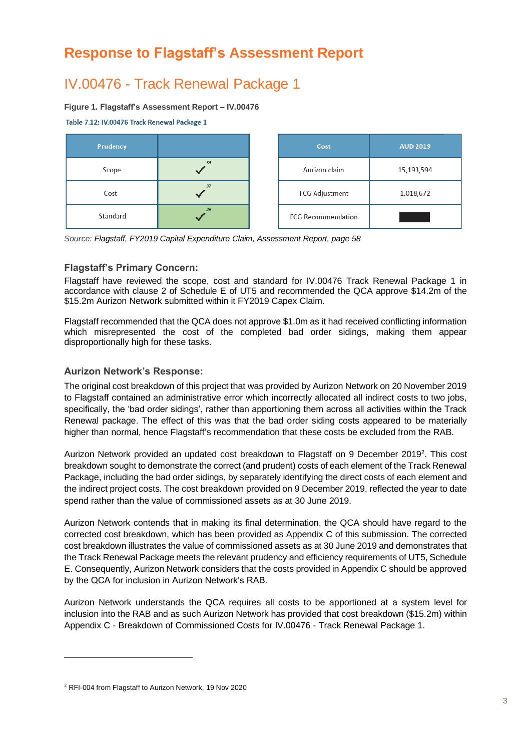### <span id="page-5-0"></span>**Response to Flagstaff's Assessment Report**

### <span id="page-5-1"></span>IV.00476 - Track Renewal Package 1

#### **Figure 1. Flagstaff's Assessment Report – IV.00476**

Table 7.12: IV.00476 Track Renewal Package 1



*Source: Flagstaff, FY2019 Capital Expenditure Claim, Assessment Report, page 58*

#### <span id="page-5-2"></span>**Flagstaff's Primary Concern:**

Flagstaff have reviewed the scope, cost and standard for IV.00476 Track Renewal Package 1 in accordance with clause 2 of Schedule E of UT5 and recommended the QCA approve \$14.2m of the \$15.2m Aurizon Network submitted within it FY2019 Capex Claim.

Flagstaff recommended that the QCA does not approve \$1.0m as it had received conflicting information which misrepresented the cost of the completed bad order sidings, making them appear disproportionally high for these tasks.

#### <span id="page-5-3"></span>**Aurizon Network's Response:**

The original cost breakdown of this project that was provided by Aurizon Network on 20 November 2019 to Flagstaff contained an administrative error which incorrectly allocated all indirect costs to two jobs, specifically, the 'bad order sidings', rather than apportioning them across all activities within the Track Renewal package. The effect of this was that the bad order siding costs appeared to be materially higher than normal, hence Flagstaff's recommendation that these costs be excluded from the RAB.

Aurizon Network provided an updated cost breakdown to Flagstaff on 9 December 2019<sup>2</sup>. This cost breakdown sought to demonstrate the correct (and prudent) costs of each element of the Track Renewal Package, including the bad order sidings, by separately identifying the direct costs of each element and the indirect project costs. The cost breakdown provided on 9 December 2019, reflected the year to date spend rather than the value of commissioned assets as at 30 June 2019.

Aurizon Network contends that in making its final determination, the QCA should have regard to the corrected cost breakdown, which has been provided as Appendix C of this submission. The corrected cost breakdown illustrates the value of commissioned assets as at 30 June 2019 and demonstrates that the Track Renewal Package meets the relevant prudency and efficiency requirements of UT5, Schedule E. Consequently, Aurizon Network considers that the costs provided in Appendix C should be approved by the QCA for inclusion in Aurizon Network's RAB.

Aurizon Network understands the QCA requires all costs to be apportioned at a system level for inclusion into the RAB and as such Aurizon Network has provided that cost breakdown (\$15.2m) within Appendix C - Breakdown of Commissioned Costs for IV.00476 - Track Renewal Package 1.

<sup>2</sup> RFI-004 from Flagstaff to Aurizon Network, 19 Nov 2020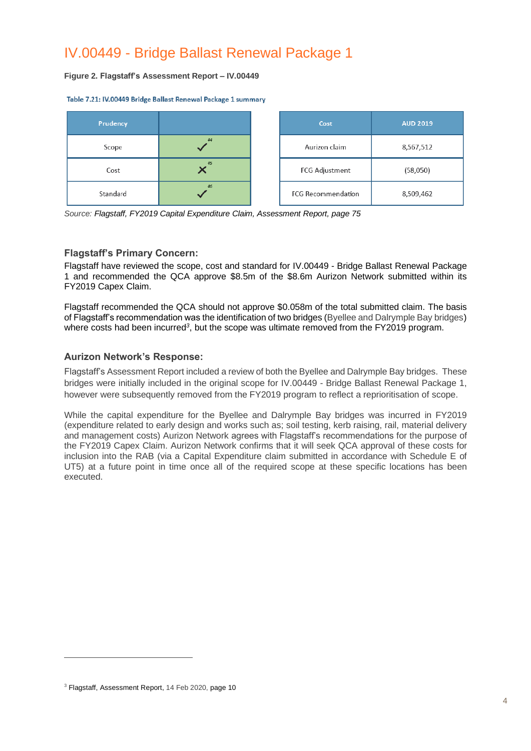### <span id="page-6-0"></span>IV.00449 - Bridge Ballast Renewal Package 1

#### **Figure 2. Flagstaff's Assessment Report – IV.00449**

Table 7.21: IV.00449 Bridge Ballast Renewal Package 1 summary



*Source: Flagstaff, FY2019 Capital Expenditure Claim, Assessment Report, page 75*

#### <span id="page-6-1"></span>**Flagstaff's Primary Concern:**

Flagstaff have reviewed the scope, cost and standard for IV.00449 - Bridge Ballast Renewal Package 1 and recommended the QCA approve \$8.5m of the \$8.6m Aurizon Network submitted within its FY2019 Capex Claim.

Flagstaff recommended the QCA should not approve \$0.058m of the total submitted claim. The basis of Flagstaff's recommendation was the identification of two bridges (Byellee and Dalrymple Bay bridges) where costs had been incurred<sup>3</sup>, but the scope was ultimate removed from the FY2019 program.

#### <span id="page-6-2"></span>**Aurizon Network's Response:**

Flagstaff's Assessment Report included a review of both the Byellee and Dalrymple Bay bridges. These bridges were initially included in the original scope for IV.00449 - Bridge Ballast Renewal Package 1, however were subsequently removed from the FY2019 program to reflect a reprioritisation of scope.

While the capital expenditure for the Byellee and Dalrymple Bay bridges was incurred in FY2019 (expenditure related to early design and works such as; soil testing, kerb raising, rail, material delivery and management costs) Aurizon Network agrees with Flagstaff's recommendations for the purpose of the FY2019 Capex Claim. Aurizon Network confirms that it will seek QCA approval of these costs for inclusion into the RAB (via a Capital Expenditure claim submitted in accordance with Schedule E of UT5) at a future point in time once all of the required scope at these specific locations has been executed.

<sup>&</sup>lt;sup>3</sup> Flagstaff, Assessment Report, 14 Feb 2020, page 10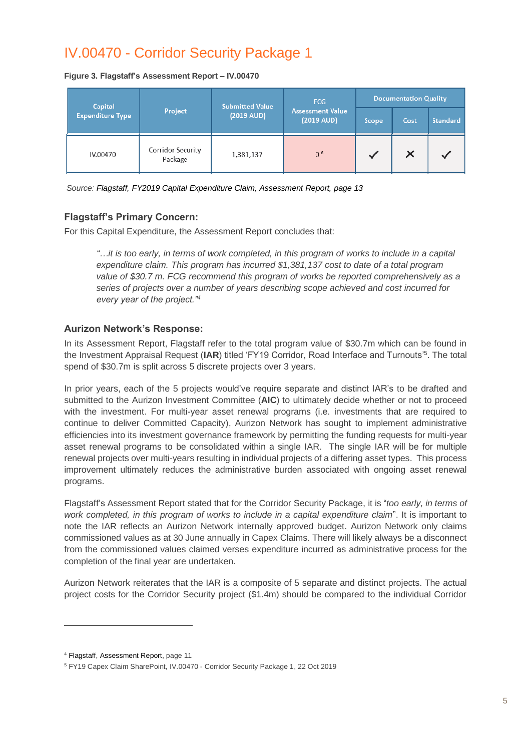### <span id="page-7-0"></span>IV.00470 - Corridor Security Package 1

**Figure 3. Flagstaff's Assessment Report – IV.00470**

| Capital                 |                              | <b>Submitted Value</b> | FCG                                             | <b>Documentation Quality</b> |      |                 |  |  |
|-------------------------|------------------------------|------------------------|-------------------------------------------------|------------------------------|------|-----------------|--|--|
| <b>Expenditure Type</b> | Project                      | $(2019 \text{ AUD})$   | <b>Assessment Value</b><br>$(2019 \text{ AUD})$ | Scope                        | Cost | <b>Standard</b> |  |  |
| IV.00470                | Corridor Security<br>Package | 1,381,137              | 0 <sup>6</sup>                                  |                              | ×    |                 |  |  |

<span id="page-7-1"></span>*Source: Flagstaff, FY2019 Capital Expenditure Claim, Assessment Report, page 13*

#### **Flagstaff's Primary Concern:**

For this Capital Expenditure, the Assessment Report concludes that:

*"…it is too early, in terms of work completed, in this program of works to include in a capital expenditure claim. This program has incurred \$1,381,137 cost to date of a total program value of \$30.7 m. FCG recommend this program of works be reported comprehensively as a series of projects over a number of years describing scope achieved and cost incurred for every year of the project."<sup>4</sup>*

#### <span id="page-7-2"></span>**Aurizon Network's Response:**

In its Assessment Report, Flagstaff refer to the total program value of \$30.7m which can be found in the Investment Appraisal Request (IAR) titled 'FY19 Corridor, Road Interface and Turnouts'<sup>5</sup>. The total spend of \$30.7m is split across 5 discrete projects over 3 years.

In prior years, each of the 5 projects would've require separate and distinct IAR's to be drafted and submitted to the Aurizon Investment Committee (**AIC**) to ultimately decide whether or not to proceed with the investment. For multi-year asset renewal programs (i.e. investments that are required to continue to deliver Committed Capacity), Aurizon Network has sought to implement administrative efficiencies into its investment governance framework by permitting the funding requests for multi-year asset renewal programs to be consolidated within a single IAR. The single IAR will be for multiple renewal projects over multi-years resulting in individual projects of a differing asset types. This process improvement ultimately reduces the administrative burden associated with ongoing asset renewal programs.

Flagstaff's Assessment Report stated that for the Corridor Security Package, it is "*too early, in terms of work completed, in this program of works to include in a capital expenditure claim*". It is important to note the IAR reflects an Aurizon Network internally approved budget. Aurizon Network only claims commissioned values as at 30 June annually in Capex Claims. There will likely always be a disconnect from the commissioned values claimed verses expenditure incurred as administrative process for the completion of the final year are undertaken.

Aurizon Network reiterates that the IAR is a composite of 5 separate and distinct projects. The actual project costs for the Corridor Security project (\$1.4m) should be compared to the individual Corridor

<sup>4</sup> Flagstaff, Assessment Report, page 11

<sup>5</sup> FY19 Capex Claim SharePoint, IV.00470 - Corridor Security Package 1, 22 Oct 2019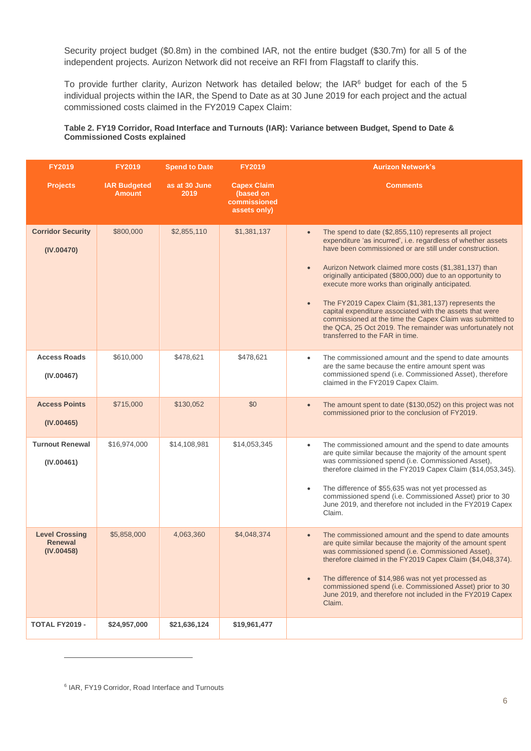Security project budget (\$0.8m) in the combined IAR, not the entire budget (\$30.7m) for all 5 of the independent projects. Aurizon Network did not receive an RFI from Flagstaff to clarify this.

To provide further clarity, Aurizon Network has detailed below; the IAR<sup>6</sup> budget for each of the 5 individual projects within the IAR, the Spend to Date as at 30 June 2019 for each project and the actual commissioned costs claimed in the FY2019 Capex Claim:

#### **Table 2. FY19 Corridor, Road Interface and Turnouts (IAR): Variance between Budget, Spend to Date & Commissioned Costs explained**

| <b>FY2019</b>                                         | <b>FY2019</b>                        | <b>Spend to Date</b>  | <b>FY2019</b>                                                   | <b>Aurizon Network's</b>                                                                                                                                                                                                                                                                                                                                                                                                                                                                                                                                                                                                                                  |
|-------------------------------------------------------|--------------------------------------|-----------------------|-----------------------------------------------------------------|-----------------------------------------------------------------------------------------------------------------------------------------------------------------------------------------------------------------------------------------------------------------------------------------------------------------------------------------------------------------------------------------------------------------------------------------------------------------------------------------------------------------------------------------------------------------------------------------------------------------------------------------------------------|
| <b>Projects</b>                                       | <b>IAR Budgeted</b><br><b>Amount</b> | as at 30 June<br>2019 | <b>Capex Claim</b><br>(based on<br>commissioned<br>assets only) | <b>Comments</b>                                                                                                                                                                                                                                                                                                                                                                                                                                                                                                                                                                                                                                           |
| <b>Corridor Security</b><br>(IV.00470)                | \$800,000                            | \$2,855,110           | \$1,381,137                                                     | The spend to date (\$2,855,110) represents all project<br>$\bullet$<br>expenditure 'as incurred', i.e. regardless of whether assets<br>have been commissioned or are still under construction.<br>Aurizon Network claimed more costs (\$1,381,137) than<br>originally anticipated (\$800,000) due to an opportunity to<br>execute more works than originally anticipated.<br>The FY2019 Capex Claim (\$1,381,137) represents the<br>capital expenditure associated with the assets that were<br>commissioned at the time the Capex Claim was submitted to<br>the QCA, 25 Oct 2019. The remainder was unfortunately not<br>transferred to the FAR in time. |
| <b>Access Roads</b><br>(IV.00467)                     | \$610,000                            | \$478,621             | \$478,621                                                       | The commissioned amount and the spend to date amounts<br>$\bullet$<br>are the same because the entire amount spent was<br>commissioned spend (i.e. Commissioned Asset), therefore<br>claimed in the FY2019 Capex Claim.                                                                                                                                                                                                                                                                                                                                                                                                                                   |
| <b>Access Points</b><br>(IV.00465)                    | \$715,000                            | \$130,052             | \$0                                                             | The amount spent to date (\$130,052) on this project was not<br>$\bullet$<br>commissioned prior to the conclusion of FY2019.                                                                                                                                                                                                                                                                                                                                                                                                                                                                                                                              |
| <b>Turnout Renewal</b><br>(IV.00461)                  | \$16,974,000                         | \$14,108,981          | \$14,053,345                                                    | The commissioned amount and the spend to date amounts<br>$\bullet$<br>are quite similar because the majority of the amount spent<br>was commissioned spend (i.e. Commissioned Asset),<br>therefore claimed in the FY2019 Capex Claim (\$14,053,345).<br>The difference of \$55,635 was not yet processed as<br>commissioned spend (i.e. Commissioned Asset) prior to 30<br>June 2019, and therefore not included in the FY2019 Capex<br>Claim.                                                                                                                                                                                                            |
| <b>Level Crossing</b><br><b>Renewal</b><br>(IV.00458) | \$5,858,000                          | 4,063,360             | \$4,048,374                                                     | The commissioned amount and the spend to date amounts<br>$\bullet$<br>are quite similar because the majority of the amount spent<br>was commissioned spend (i.e. Commissioned Asset),<br>therefore claimed in the FY2019 Capex Claim (\$4,048,374).<br>The difference of \$14,986 was not yet processed as<br>commissioned spend (i.e. Commissioned Asset) prior to 30<br>June 2019, and therefore not included in the FY2019 Capex<br>Claim.                                                                                                                                                                                                             |
| TOTAL FY2019 -                                        | \$24,957,000                         | \$21,636,124          | \$19,961,477                                                    |                                                                                                                                                                                                                                                                                                                                                                                                                                                                                                                                                                                                                                                           |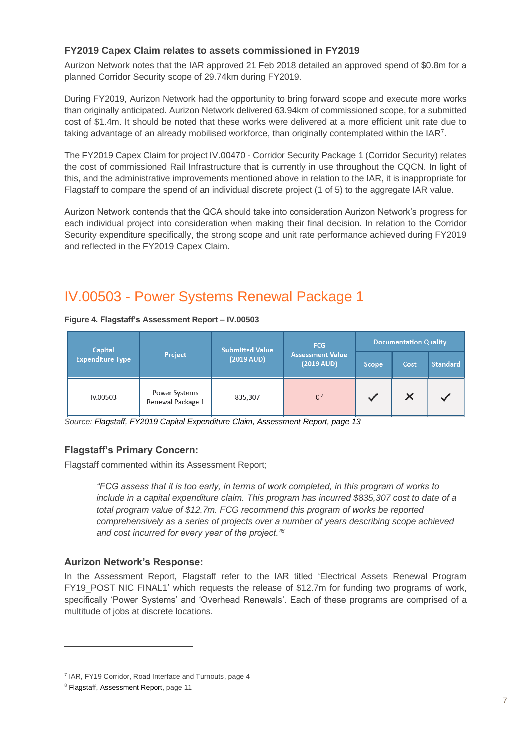#### <span id="page-9-0"></span>**FY2019 Capex Claim relates to assets commissioned in FY2019**

Aurizon Network notes that the IAR approved 21 Feb 2018 detailed an approved spend of \$0.8m for a planned Corridor Security scope of 29.74km during FY2019.

During FY2019, Aurizon Network had the opportunity to bring forward scope and execute more works than originally anticipated. Aurizon Network delivered 63.94km of commissioned scope, for a submitted cost of \$1.4m. It should be noted that these works were delivered at a more efficient unit rate due to taking advantage of an already mobilised workforce, than originally contemplated within the IAR<sup>7</sup>.

The FY2019 Capex Claim for project IV.00470 - Corridor Security Package 1 (Corridor Security) relates the cost of commissioned Rail Infrastructure that is currently in use throughout the CQCN. In light of this, and the administrative improvements mentioned above in relation to the IAR, it is inappropriate for Flagstaff to compare the spend of an individual discrete project (1 of 5) to the aggregate IAR value.

Aurizon Network contends that the QCA should take into consideration Aurizon Network's progress for each individual project into consideration when making their final decision. In relation to the Corridor Security expenditure specifically, the strong scope and unit rate performance achieved during FY2019 and reflected in the FY2019 Capex Claim.

### <span id="page-9-1"></span>IV.00503 - Power Systems Renewal Package 1

#### **Figure 4. Flagstaff's Assessment Report – IV.00503**

| Capital<br><b>Expenditure Type</b> |                                    | <b>Submitted Value</b> | FCG                                             | <b>Documentation Quality</b> |      |                 |  |  |
|------------------------------------|------------------------------------|------------------------|-------------------------------------------------|------------------------------|------|-----------------|--|--|
|                                    | Project                            | $(2019 \text{ AUD})$   | <b>Assessment Value</b><br>$(2019 \text{ AUD})$ | Scope                        | Cost | <b>Standard</b> |  |  |
| IV.00503                           | Power Systems<br>Renewal Package 1 | 835,307                | 0 <sup>7</sup>                                  |                              | ×    |                 |  |  |

<span id="page-9-2"></span>*Source: Flagstaff, FY2019 Capital Expenditure Claim, Assessment Report, page 13*

#### **Flagstaff's Primary Concern:**

Flagstaff commented within its Assessment Report;

*"FCG assess that it is too early, in terms of work completed, in this program of works to include in a capital expenditure claim. This program has incurred \$835,307 cost to date of a total program value of \$12.7m. FCG recommend this program of works be reported comprehensively as a series of projects over a number of years describing scope achieved and cost incurred for every year of the project."<sup>8</sup>*

#### <span id="page-9-3"></span>**Aurizon Network's Response:**

In the Assessment Report, Flagstaff refer to the IAR titled 'Electrical Assets Renewal Program FY19 POST NIC FINAL1' which requests the release of \$12.7m for funding two programs of work, specifically 'Power Systems' and 'Overhead Renewals'. Each of these programs are comprised of a multitude of jobs at discrete locations.

<sup>&</sup>lt;sup>7</sup> IAR, FY19 Corridor, Road Interface and Turnouts, page 4

<sup>8</sup> Flagstaff, Assessment Report, page 11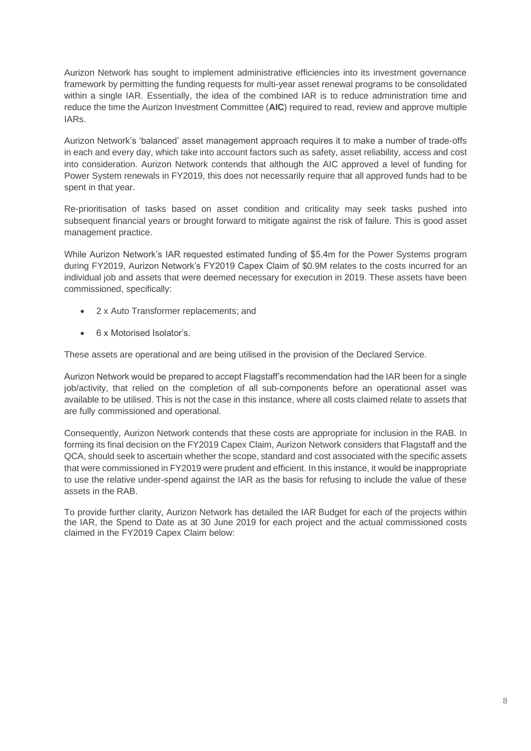Aurizon Network has sought to implement administrative efficiencies into its investment governance framework by permitting the funding requests for multi-year asset renewal programs to be consolidated within a single IAR. Essentially, the idea of the combined IAR is to reduce administration time and reduce the time the Aurizon Investment Committee (**AIC**) required to read, review and approve multiple IARs.

Aurizon Network's 'balanced' asset management approach requires it to make a number of trade-offs in each and every day, which take into account factors such as safety, asset reliability, access and cost into consideration. Aurizon Network contends that although the AIC approved a level of funding for Power System renewals in FY2019, this does not necessarily require that all approved funds had to be spent in that year.

Re-prioritisation of tasks based on asset condition and criticality may seek tasks pushed into subsequent financial years or brought forward to mitigate against the risk of failure. This is good asset management practice.

While Aurizon Network's IAR requested estimated funding of \$5.4m for the Power Systems program during FY2019, Aurizon Network's FY2019 Capex Claim of \$0.9M relates to the costs incurred for an individual job and assets that were deemed necessary for execution in 2019. These assets have been commissioned, specifically:

- 2 x Auto Transformer replacements; and
- 6 x Motorised Isolator's.

These assets are operational and are being utilised in the provision of the Declared Service.

Aurizon Network would be prepared to accept Flagstaff's recommendation had the IAR been for a single job/activity, that relied on the completion of all sub-components before an operational asset was available to be utilised. This is not the case in this instance, where all costs claimed relate to assets that are fully commissioned and operational.

Consequently, Aurizon Network contends that these costs are appropriate for inclusion in the RAB. In forming its final decision on the FY2019 Capex Claim, Aurizon Network considers that Flagstaff and the QCA, should seek to ascertain whether the scope, standard and cost associated with the specific assets that were commissioned in FY2019 were prudent and efficient. In this instance, it would be inappropriate to use the relative under-spend against the IAR as the basis for refusing to include the value of these assets in the RAB.

To provide further clarity, Aurizon Network has detailed the IAR Budget for each of the projects within the IAR, the Spend to Date as at 30 June 2019 for each project and the actual commissioned costs claimed in the FY2019 Capex Claim below: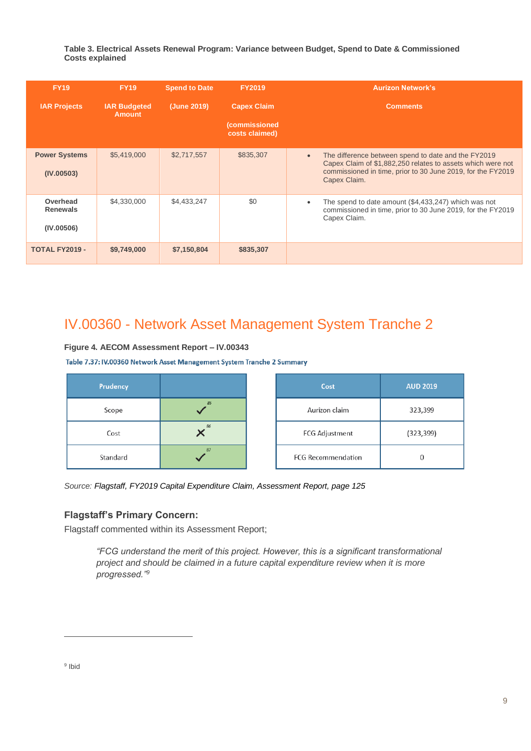**Table 3. Electrical Assets Renewal Program: Variance between Budget, Spend to Date & Commissioned Costs explained**

| <b>FY19</b>                               | <b>Spend to Date</b><br><b>FY19</b>  |             | <b>FY2019</b>                          | <b>Aurizon Network's</b>                                                                                                                                                                                       |
|-------------------------------------------|--------------------------------------|-------------|----------------------------------------|----------------------------------------------------------------------------------------------------------------------------------------------------------------------------------------------------------------|
| <b>IAR Projects</b>                       | <b>IAR Budgeted</b><br><b>Amount</b> | (June 2019) | <b>Capex Claim</b>                     | <b>Comments</b>                                                                                                                                                                                                |
|                                           |                                      |             | <i>(commissioned</i><br>costs claimed) |                                                                                                                                                                                                                |
| <b>Power Systems</b><br>(IV.00503)        | \$5,419,000                          | \$2,717,557 | \$835,307                              | The difference between spend to date and the FY2019<br>$\bullet$<br>Capex Claim of \$1,882,250 relates to assets which were not<br>commissioned in time, prior to 30 June 2019, for the FY2019<br>Capex Claim. |
| Overhead<br><b>Renewals</b><br>(IV.00506) | \$4,330,000                          | \$4,433,247 | \$0                                    | The spend to date amount (\$4,433,247) which was not<br>$\bullet$<br>commissioned in time, prior to 30 June 2019, for the FY2019<br>Capex Claim.                                                               |
| <b>TOTAL FY2019 -</b>                     | \$9,749,000                          | \$7,150,804 | \$835,307                              |                                                                                                                                                                                                                |

### <span id="page-11-0"></span>IV.00360 - Network Asset Management System Tranche 2

#### **Figure 4. AECOM Assessment Report – IV.00343**

Table 7.37: IV.00360 Network Asset Management System Tranche 2 Summary

| Prudency |    | Cost                      | <b>AUD 2019</b> |
|----------|----|---------------------------|-----------------|
| Scope    | 85 | Aurizon claim             | 323,399         |
| Cost     | 86 | <b>FCG Adjustment</b>     | (323, 399)      |
| Standard | 87 | <b>FCG Recommendation</b> |                 |

<span id="page-11-1"></span>*Source: Flagstaff, FY2019 Capital Expenditure Claim, Assessment Report, page 125*

#### **Flagstaff's Primary Concern:**

Flagstaff commented within its Assessment Report;

*"FCG understand the merit of this project. However, this is a significant transformational project and should be claimed in a future capital expenditure review when it is more progressed."<sup>9</sup>*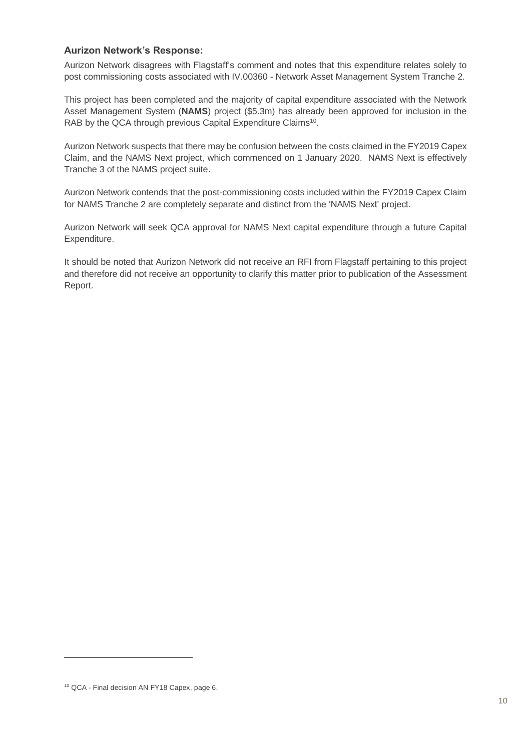#### <span id="page-12-0"></span>**Aurizon Network's Response:**

Aurizon Network disagrees with Flagstaff's comment and notes that this expenditure relates solely to post commissioning costs associated with IV.00360 - Network Asset Management System Tranche 2.

This project has been completed and the majority of capital expenditure associated with the Network Asset Management System (**NAMS**) project (\$5.3m) has already been approved for inclusion in the RAB by the QCA through previous Capital Expenditure Claims<sup>10</sup>.

Aurizon Network suspects that there may be confusion between the costs claimed in the FY2019 Capex Claim, and the NAMS Next project, which commenced on 1 January 2020. NAMS Next is effectively Tranche 3 of the NAMS project suite.

Aurizon Network contends that the post-commissioning costs included within the FY2019 Capex Claim for NAMS Tranche 2 are completely separate and distinct from the 'NAMS Next' project.

Aurizon Network will seek QCA approval for NAMS Next capital expenditure through a future Capital Expenditure.

It should be noted that Aurizon Network did not receive an RFI from Flagstaff pertaining to this project and therefore did not receive an opportunity to clarify this matter prior to publication of the Assessment Report.

<sup>&</sup>lt;sup>10</sup> QCA - Final decision AN FY18 Capex, page 6.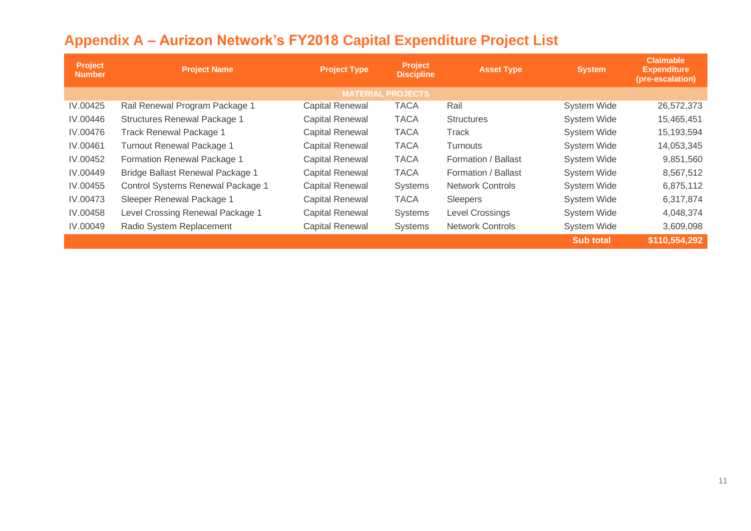<span id="page-13-0"></span>

| Project<br><b>Number</b> | <b>Project Name</b>                 | <b>Project Type</b>    | Project<br><b>Discipline</b> | <b>Asset Type</b>       | <b>System</b>      | <b>Claimable</b><br><b>Expenditure</b><br>(pre-escalation) |
|--------------------------|-------------------------------------|------------------------|------------------------------|-------------------------|--------------------|------------------------------------------------------------|
|                          |                                     |                        | <b>MATERIAL PROJECTS</b>     |                         |                    |                                                            |
| IV.00425                 | Rail Renewal Program Package 1      | <b>Capital Renewal</b> | <b>TACA</b>                  | Rail                    | <b>System Wide</b> | 26,572,373                                                 |
| IV.00446                 | <b>Structures Renewal Package 1</b> | <b>Capital Renewal</b> | <b>TACA</b>                  | <b>Structures</b>       | <b>System Wide</b> | 15,465,451                                                 |
| IV.00476                 | <b>Track Renewal Package 1</b>      | <b>Capital Renewal</b> | <b>TACA</b>                  | Track                   | <b>System Wide</b> | 15,193,594                                                 |
| IV.00461                 | Turnout Renewal Package 1           | <b>Capital Renewal</b> | <b>TACA</b>                  | <b>Turnouts</b>         | <b>System Wide</b> | 14,053,345                                                 |
| IV.00452                 | Formation Renewal Package 1         | <b>Capital Renewal</b> | <b>TACA</b>                  | Formation / Ballast     | <b>System Wide</b> | 9,851,560                                                  |
| IV.00449                 | Bridge Ballast Renewal Package 1    | <b>Capital Renewal</b> | <b>TACA</b>                  | Formation / Ballast     | <b>System Wide</b> | 8,567,512                                                  |
| IV.00455                 | Control Systems Renewal Package 1   | <b>Capital Renewal</b> | Systems                      | <b>Network Controls</b> | <b>System Wide</b> | 6,875,112                                                  |
| IV.00473                 | Sleeper Renewal Package 1           | <b>Capital Renewal</b> | <b>TACA</b>                  | Sleepers                | <b>System Wide</b> | 6,317,874                                                  |
| IV.00458                 | Level Crossing Renewal Package 1    | <b>Capital Renewal</b> | Systems                      | Level Crossings         | <b>System Wide</b> | 4,048,374                                                  |
| IV.00049                 | Radio System Replacement            | <b>Capital Renewal</b> | Systems                      | <b>Network Controls</b> | <b>System Wide</b> | 3,609,098                                                  |
|                          |                                     |                        |                              |                         | <b>Sub total</b>   | \$110,554,292                                              |

## **Appendix A – Aurizon Network's FY2018 Capital Expenditure Project List**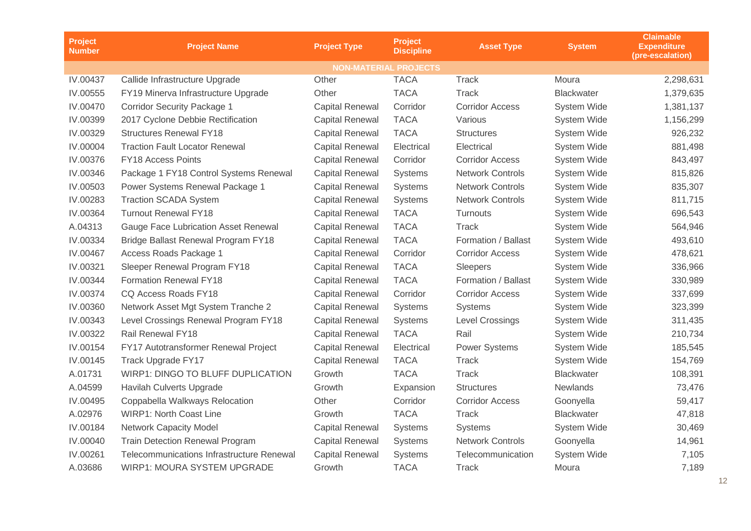| <b>Project</b><br><b>Number</b> | <b>Project Name</b>                       | <b>Project Type</b>    | <b>Project</b><br><b>Discipline</b> |                         | <b>System</b>      | <b>Claimable</b><br><b>Expenditure</b><br>(pre-escalation) |
|---------------------------------|-------------------------------------------|------------------------|-------------------------------------|-------------------------|--------------------|------------------------------------------------------------|
|                                 |                                           |                        | <b>NON-MATERIAL PROJECTS</b>        |                         |                    |                                                            |
| IV.00437                        | Callide Infrastructure Upgrade            | Other                  | <b>TACA</b>                         | <b>Track</b>            | Moura              | 2,298,631                                                  |
| IV.00555                        | FY19 Minerva Infrastructure Upgrade       | Other                  | <b>TACA</b>                         | <b>Track</b>            | <b>Blackwater</b>  | 1,379,635                                                  |
| IV.00470                        | <b>Corridor Security Package 1</b>        | <b>Capital Renewal</b> | Corridor                            | <b>Corridor Access</b>  | <b>System Wide</b> | 1,381,137                                                  |
| IV.00399                        | 2017 Cyclone Debbie Rectification         | <b>Capital Renewal</b> | <b>TACA</b>                         | Various                 | <b>System Wide</b> | 1,156,299                                                  |
| IV.00329                        | <b>Structures Renewal FY18</b>            | <b>Capital Renewal</b> | <b>TACA</b>                         | <b>Structures</b>       | <b>System Wide</b> | 926,232                                                    |
| IV.00004                        | <b>Traction Fault Locator Renewal</b>     | <b>Capital Renewal</b> | Electrical                          | Electrical              | System Wide        | 881,498                                                    |
| IV.00376                        | FY18 Access Points                        | <b>Capital Renewal</b> | Corridor                            | <b>Corridor Access</b>  | <b>System Wide</b> | 843,497                                                    |
| IV.00346                        | Package 1 FY18 Control Systems Renewal    | <b>Capital Renewal</b> | Systems                             | <b>Network Controls</b> | <b>System Wide</b> | 815,826                                                    |
| IV.00503                        | Power Systems Renewal Package 1           | <b>Capital Renewal</b> | Systems                             | <b>Network Controls</b> | <b>System Wide</b> | 835,307                                                    |
| IV.00283                        | <b>Traction SCADA System</b>              | <b>Capital Renewal</b> | Systems                             | <b>Network Controls</b> | System Wide        | 811,715                                                    |
| IV.00364                        | <b>Turnout Renewal FY18</b>               | <b>Capital Renewal</b> | <b>TACA</b>                         | Turnouts                | System Wide        | 696,543                                                    |
| A.04313                         | Gauge Face Lubrication Asset Renewal      | <b>Capital Renewal</b> | <b>TACA</b>                         | <b>Track</b>            | System Wide        | 564,946                                                    |
| IV.00334                        | Bridge Ballast Renewal Program FY18       | <b>Capital Renewal</b> | <b>TACA</b>                         | Formation / Ballast     | System Wide        | 493,610                                                    |
| IV.00467                        | Access Roads Package 1                    | <b>Capital Renewal</b> | Corridor                            | <b>Corridor Access</b>  | System Wide        | 478,621                                                    |
| IV.00321                        | Sleeper Renewal Program FY18              | <b>Capital Renewal</b> | <b>TACA</b>                         | Sleepers                | <b>System Wide</b> | 336,966                                                    |
| IV.00344                        | <b>Formation Renewal FY18</b>             | <b>Capital Renewal</b> | <b>TACA</b>                         | Formation / Ballast     | System Wide        | 330,989                                                    |
| IV.00374                        | CQ Access Roads FY18                      | <b>Capital Renewal</b> | Corridor                            | <b>Corridor Access</b>  | System Wide        | 337,699                                                    |
| IV.00360                        | Network Asset Mgt System Tranche 2        | <b>Capital Renewal</b> | <b>Systems</b>                      | <b>Systems</b>          | System Wide        | 323,399                                                    |
| IV.00343                        | Level Crossings Renewal Program FY18      | <b>Capital Renewal</b> | Systems                             | <b>Level Crossings</b>  | System Wide        | 311,435                                                    |
| IV.00322                        | Rail Renewal FY18                         | <b>Capital Renewal</b> | <b>TACA</b>                         | Rail                    | <b>System Wide</b> | 210,734                                                    |
| IV.00154                        | FY17 Autotransformer Renewal Project      | <b>Capital Renewal</b> | Electrical                          | <b>Power Systems</b>    | System Wide        | 185,545                                                    |
| IV.00145                        | Track Upgrade FY17                        | <b>Capital Renewal</b> | <b>TACA</b>                         | <b>Track</b>            | System Wide        | 154,769                                                    |
| A.01731                         | <b>WIRP1: DINGO TO BLUFF DUPLICATION</b>  | Growth                 | <b>TACA</b>                         | <b>Track</b>            | <b>Blackwater</b>  | 108,391                                                    |
| A.04599                         | Havilah Culverts Upgrade                  | Growth                 | Expansion                           | <b>Structures</b>       | Newlands           | 73,476                                                     |
| IV.00495                        | Coppabella Walkways Relocation            | Other                  | Corridor                            | <b>Corridor Access</b>  | Goonyella          | 59,417                                                     |
| A.02976                         | <b>WIRP1: North Coast Line</b>            | Growth                 | <b>TACA</b>                         | <b>Track</b>            | <b>Blackwater</b>  | 47,818                                                     |
| IV.00184                        | <b>Network Capacity Model</b>             | <b>Capital Renewal</b> | Systems                             | <b>Systems</b>          | <b>System Wide</b> | 30,469                                                     |
| IV.00040                        | <b>Train Detection Renewal Program</b>    | <b>Capital Renewal</b> | <b>Systems</b>                      | <b>Network Controls</b> | Goonyella          | 14,961                                                     |
| IV.00261                        | Telecommunications Infrastructure Renewal | <b>Capital Renewal</b> | <b>Systems</b>                      | Telecommunication       | System Wide        | 7,105                                                      |
| A.03686                         | WIRP1: MOURA SYSTEM UPGRADE               | Growth                 | <b>TACA</b>                         | <b>Track</b>            | Moura              | 7,189                                                      |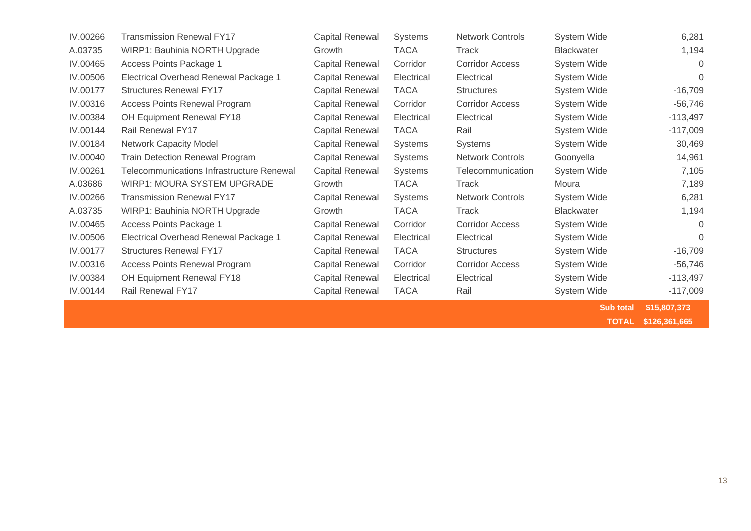| IV.00266 | <b>Transmission Renewal FY17</b>                 | <b>Capital Renewal</b> | <b>Systems</b> | <b>Network Controls</b> | System Wide        | 6,281          |
|----------|--------------------------------------------------|------------------------|----------------|-------------------------|--------------------|----------------|
| A.03735  | WIRP1: Bauhinia NORTH Upgrade                    | Growth                 | <b>TACA</b>    | Track                   | <b>Blackwater</b>  | 1,194          |
| IV.00465 | Access Points Package 1                          | <b>Capital Renewal</b> | Corridor       | <b>Corridor Access</b>  | System Wide        | $\Omega$       |
| IV.00506 | Electrical Overhead Renewal Package 1            | <b>Capital Renewal</b> | Electrical     | Electrical              | System Wide        | $\overline{0}$ |
| IV.00177 | <b>Structures Renewal FY17</b>                   | <b>Capital Renewal</b> | <b>TACA</b>    | <b>Structures</b>       | <b>System Wide</b> | $-16,709$      |
| IV.00316 | <b>Access Points Renewal Program</b>             | <b>Capital Renewal</b> | Corridor       | <b>Corridor Access</b>  | System Wide        | $-56,746$      |
| IV.00384 | OH Equipment Renewal FY18                        | <b>Capital Renewal</b> | Electrical     | Electrical              | System Wide        | $-113,497$     |
| IV.00144 | Rail Renewal FY17                                | <b>Capital Renewal</b> | <b>TACA</b>    | Rail                    | <b>System Wide</b> | $-117,009$     |
| IV.00184 | Network Capacity Model                           | <b>Capital Renewal</b> | <b>Systems</b> | <b>Systems</b>          | System Wide        | 30,469         |
| IV.00040 | <b>Train Detection Renewal Program</b>           | <b>Capital Renewal</b> | <b>Systems</b> | <b>Network Controls</b> | Goonyella          | 14,961         |
| IV.00261 | <b>Telecommunications Infrastructure Renewal</b> | <b>Capital Renewal</b> | <b>Systems</b> | Telecommunication       | System Wide        | 7,105          |
| A.03686  | WIRP1: MOURA SYSTEM UPGRADE                      | Growth                 | <b>TACA</b>    | Track                   | Moura              | 7,189          |
| IV.00266 | <b>Transmission Renewal FY17</b>                 | <b>Capital Renewal</b> | <b>Systems</b> | <b>Network Controls</b> | System Wide        | 6,281          |
| A.03735  | WIRP1: Bauhinia NORTH Upgrade                    | Growth                 | <b>TACA</b>    | <b>Track</b>            | <b>Blackwater</b>  | 1,194          |
| IV.00465 | Access Points Package 1                          | <b>Capital Renewal</b> | Corridor       | <b>Corridor Access</b>  | System Wide        | $\overline{0}$ |
| IV.00506 | Electrical Overhead Renewal Package 1            | <b>Capital Renewal</b> | Electrical     | Electrical              | System Wide        | $\overline{0}$ |
| IV.00177 | <b>Structures Renewal FY17</b>                   | <b>Capital Renewal</b> | <b>TACA</b>    | <b>Structures</b>       | System Wide        | $-16,709$      |
| IV.00316 | <b>Access Points Renewal Program</b>             | Capital Renewal        | Corridor       | <b>Corridor Access</b>  | System Wide        | $-56,746$      |
| IV.00384 | OH Equipment Renewal FY18                        | <b>Capital Renewal</b> | Electrical     | Electrical              | System Wide        | $-113,497$     |
| IV.00144 | <b>Rail Renewal FY17</b>                         | <b>Capital Renewal</b> | <b>TACA</b>    | Rail                    | System Wide        | $-117,009$     |

**Sub total \$15,807,373 TOTAL \$126,361,665**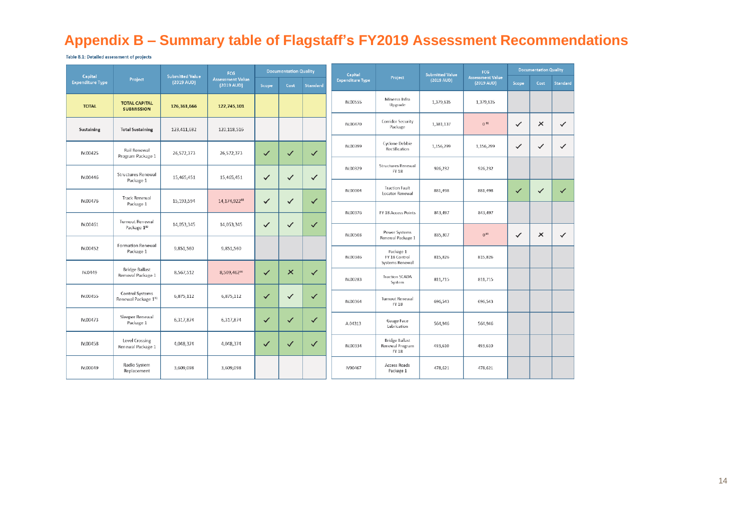# **Appendix B – Summary table of Flagstaff's FY2019 Assessment Recommendations**

Table 8.1: Detailed assessment of projects

<span id="page-16-0"></span>

| Capital                 |                                            | <b>Submitted Value</b> | <b>FCG</b>                            |              | <b>Documentation Quality</b> |              | Capital                 |                                                   | <b>Submitted Value</b> | <b>FCG</b>                                      |              | <b>Documentation Quality</b> |              |
|-------------------------|--------------------------------------------|------------------------|---------------------------------------|--------------|------------------------------|--------------|-------------------------|---------------------------------------------------|------------------------|-------------------------------------------------|--------------|------------------------------|--------------|
| <b>Expenditure Type</b> | Project                                    | (2019 AUD)             | <b>Assessment Value</b><br>(2019 AUD) | Scope        | Cost                         | Standard     | <b>Expenditure Type</b> | Project                                           | $(2019 \text{ AUD})$   | <b>Assessment Value</b><br>$(2019 \text{ AUD})$ | Scope        | Cost                         | Standard     |
| <b>TOTAL</b>            | <b>TOTAL CAPITAL</b><br><b>SUBMISSION</b>  | 126,361,666            | 122,745,101                           |              |                              |              | IV.00555                | Minerva Infra<br>Upgrade                          | 1,379,635              | 1,379,635                                       |              |                              |              |
| Sustaining              | <b>Total Sustaining</b>                    | 123,411,682            | 120,118,516                           |              |                              |              | IV.00470                | <b>Corridor Security</b><br>Package               | 1,381,137              | $0^{\,92}$                                      | $\checkmark$ | $\times$                     | $\checkmark$ |
| IV.00425                | Rail Renewal<br>Program Package 1          | 26,572,373             | 26,572,373                            | $\checkmark$ | $\checkmark$                 | $\checkmark$ | IV.00399                | Cyclone Debbie<br>Rectification                   | 1,156,299              | 1,156,299                                       | $\checkmark$ | ✓                            | ✓            |
| IV.00446                | <b>Structures Renewal</b><br>Package 1     | 15,465,451             | 15,465,451                            | $\checkmark$ | ✓                            | ✓            | IV.00329                | Structures Renewal<br><b>FY 18</b>                | 926,232                | 926,232                                         |              |                              |              |
| IV.00476                | <b>Track Renewal</b>                       | 15,193,594             | 14,174,92288                          | $\checkmark$ | ✓                            | $\checkmark$ | IV.00004                | <b>Traction Fault</b><br>Locator Renewal          | 881,498                | 881,498                                         | $\checkmark$ | $\checkmark$                 | $\checkmark$ |
|                         | Package 1                                  |                        |                                       |              |                              |              | IV.00376                | FY 18 Access Points                               | 843,497                | 843,497                                         |              |                              |              |
| IV.00461                | Turnout Renewal<br>Package 189             | 14,053,345             | 14,053,345                            | $\checkmark$ | ✓                            | ✓            | IV.00503                | Power Systems                                     | 835,307                | $0^{93}$                                        | $\checkmark$ | ×                            | $\checkmark$ |
| IV.00452                | Formation Renewal                          | 9,851,560              | 9,851,560                             |              |                              |              |                         | Renewal Package 1                                 |                        |                                                 |              |                              |              |
|                         | Package 1                                  |                        |                                       |              |                              |              | IV.00346                | Package 1<br>FY 18 Control<br>Systems Renewal     | 815,826                | 815,826                                         |              |                              |              |
| IV.0449                 | <b>Bridge Ballast</b><br>Removal Package 1 | 8,567,512              | 8,509,46290                           | $\checkmark$ | $\times$                     | $\checkmark$ | IV.00283                | <b>Traction SCADA</b><br>System                   | 811,715                | 811.715                                         |              |                              |              |
| IV.00455                | Control Systems<br>Renewal Package 191     | 6,875,112              | 6,875,112                             | $\checkmark$ | $\checkmark$                 | ✓            | IV.00364                | Turnout Renewal<br>FY 18                          | 696,543                | 696,543                                         |              |                              |              |
| IV.00473                | Sleeper Renewal<br>Package 1               | 6,317,874              | 6,317,874                             | $\checkmark$ | $\checkmark$                 | ✓            | A.04313                 | Gauge Face<br>Lubrication                         | 564,946                | 564,946                                         |              |                              |              |
| IV.00458                | Level Crossing<br>Renewal Package 1        | 4,048,374              | 4,048,374                             | $\checkmark$ | $\checkmark$                 | ✓            | IV.00334                | <b>Bridge Ballast</b><br>Renewal Program<br>FY 18 | 493,610                | 493,610                                         |              |                              |              |
| IV.00049                | Radio System<br>Replacement                | 3,609,098              | 3,609,098                             |              |                              |              | IV00467                 | Access Roads<br>Package 1                         | 478,621                | 478,621                                         |              |                              |              |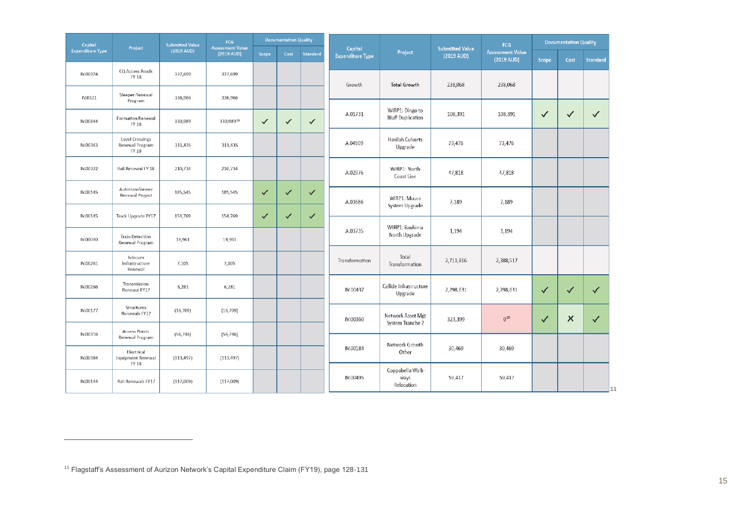| Capital                 | Project                                                | <b>Submitted Value</b> | FCG<br><b>Assessment Value</b> |              | <b>Documentation Quality</b> |                 | Capital                 | <b>Submitted Value</b>                      | FCG        |                                       | <b>Documentation Quality</b> |                |                 |
|-------------------------|--------------------------------------------------------|------------------------|--------------------------------|--------------|------------------------------|-----------------|-------------------------|---------------------------------------------|------------|---------------------------------------|------------------------------|----------------|-----------------|
| <b>Expenditure Type</b> |                                                        | $(2019 \text{ AUD})$   | $(2019 \text{ AUD})$           | Scope        | Cost                         | <b>Standard</b> | <b>Expenditure Type</b> | Project                                     | (2019 AUD) | <b>Assessment Value</b><br>(2019 AUD) | Scope                        | Cost           | <b>Standard</b> |
| IV.00374                | CQ Access Roads<br><b>FY 18</b>                        | 337,699                | 337,699                        |              |                              |                 | Growth                  | <b>Total Growth</b>                         | 238,068    | 238,068                               |                              |                |                 |
| IV.0321                 | Sleeper Renewal<br>Program                             | 336,966                | 336,966                        |              |                              |                 |                         |                                             |            |                                       |                              |                |                 |
| IV.00344                | Formation Renewal<br><b>FY 18</b>                      | 330,989                | 330,989 <sup>94</sup>          | $\checkmark$ | ✓                            | $\checkmark$    | A.01731                 | WIRP1: Dingo to<br><b>Bluff Duplication</b> | 108,391    | 108,391                               | ✓                            | ✓              | $\checkmark$    |
| IV.00343                | Level Crossings<br>Renewal Program<br><b>FY 18</b>     | 311,435                | 311,435                        |              |                              |                 | A.04599                 | Havilah Culverts<br>Upgrade                 | 73,476     | 73,476                                |                              |                |                 |
| IV.00322                | Rail Renewal FY 18                                     | 210,734                | 210,734                        |              |                              |                 | A.02976                 | WIRP1: North<br>Coast Line                  | 47,818     | 47,818                                |                              |                |                 |
| IV.00145                | Autotransformer<br>Renewal Project                     | 185,545                | 185,545                        | $\checkmark$ | ✓                            | $\checkmark$    | A.03686                 | WIRP1: Moura                                | 7,189      | 7,189                                 |                              |                |                 |
| IV.00145                | Track Upgrade FY17                                     | 154,769                | 154,769                        | $\checkmark$ | ✓                            | $\checkmark$    |                         | System Upgrade                              |            |                                       |                              |                |                 |
| IV.00040                | <b>Train Detection</b><br>Renewal Program              | 14,961                 | 14,961                         |              |                              |                 | A.03735                 | WIRP1: Bauhinia<br>North Upgrade            | 1,194      | 1,194                                 |                              |                |                 |
| IV.00261                | Telecom<br>Infrastructure<br>Renewal                   | 7,105                  | 7,105                          |              |                              |                 | Transformation          | Total<br>Transformation                     | 2,711,916  | 2,388,517                             |                              |                |                 |
| IV.00266                | Transmission<br>Renewal FY17                           | 6,281                  | 6,281                          |              |                              |                 | IV.00437                | Callide Infrastructure<br>Upgrade           | 2,298,631  | 2,298,631                             | ✓                            | ✓              | ✓               |
| IV.00177                | Structures<br>Renewals FY17                            | (16, 709)              | (16, 709)                      |              |                              |                 | IV.00360                | Network Asset Mgt                           | 323,399    | $0^{95}$                              | ✓                            | $\pmb{\times}$ | ✓               |
| IV.00316                | <b>Access Points</b><br>Renewal Program                | (56, 746)              | (56, 746)                      |              |                              |                 |                         | System Tranche 2                            |            |                                       |                              |                |                 |
| IV.00384                | Electrical<br><b>Equipment Renewal</b><br><b>FY 18</b> | (113, 497)             | (113, 497)                     |              |                              |                 | IV.00184                | Network Growth<br>Other                     | 30,469     | 30,469                                |                              |                |                 |
| IV.00144                | Rail Renewals FY17                                     | (117,009)              | (117,009)                      |              |                              |                 | IV.00495                | Coppabella Walk-<br>ways<br>Relocation      | 59,417     | 59,417                                |                              |                | 11              |

<sup>&</sup>lt;sup>11</sup> Flagstaff's Assessment of Aurizon Network's Capital Expenditure Claim (FY19), page 128-131